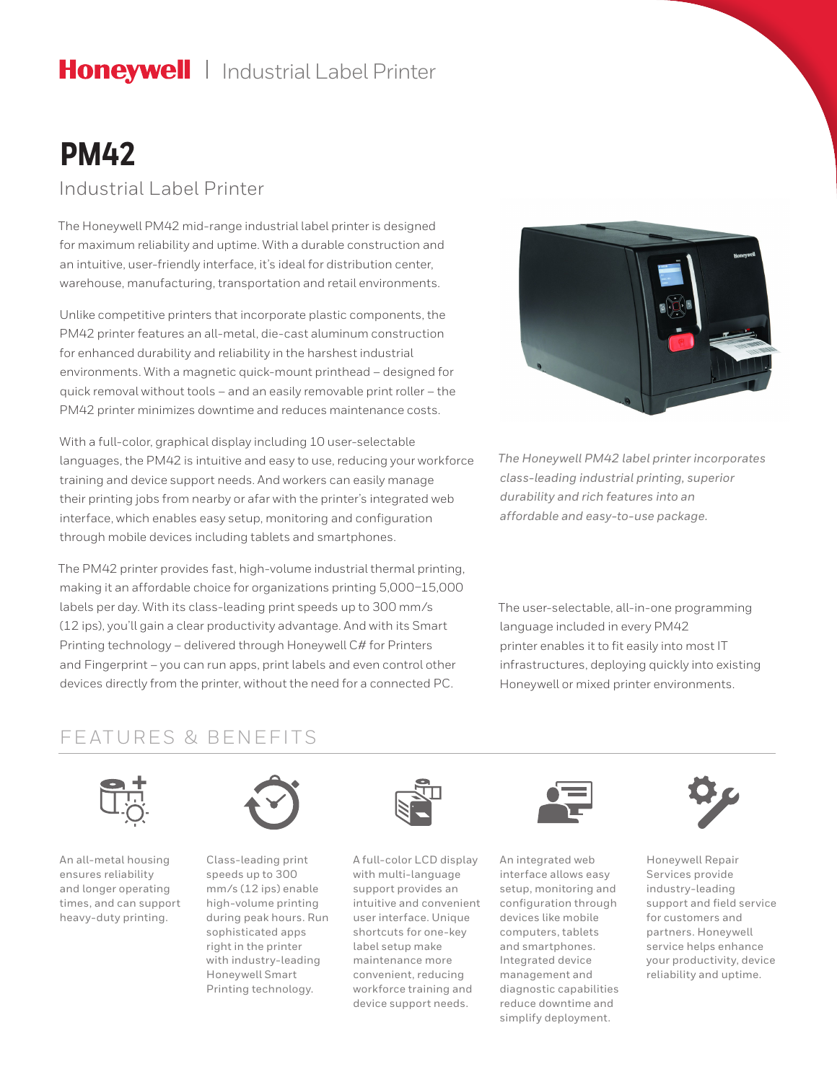# Honeywell | Industrial Label Printer

# **PM42**

Industrial Label Printer

The Honeywell PM42 mid-range industrial label printer is designed for maximum reliability and uptime. With a durable construction and an intuitive, user-friendly interface, it's ideal for distribution center, warehouse, manufacturing, transportation and retail environments.

Unlike competitive printers that incorporate plastic components, the PM42 printer features an all-metal, die-cast aluminum construction for enhanced durability and reliability in the harshest industrial environments. With a magnetic quick-mount printhead – designed for quick removal without tools – and an easily removable print roller – the PM42 printer minimizes downtime and reduces maintenance costs.

With a full-color, graphical display including 10 user-selectable languages, the PM42 is intuitive and easy to use, reducing your workforce training and device support needs. And workers can easily manage their printing jobs from nearby or afar with the printer's integrated web interface, which enables easy setup, monitoring and configuration through mobile devices including tablets and smartphones.

The PM42 printer provides fast, high-volume industrial thermal printing, making it an affordable choice for organizations printing 5,000–15,000 labels per day. With its class-leading print speeds up to 300 mm/s (12 ips), you'll gain a clear productivity advantage. And with its Smart Printing technology – delivered through Honeywell C# for Printers and Fingerprint – you can run apps, print labels and even control other devices directly from the printer, without the need for a connected PC.



*The Honeywell PM42 label printer incorporates class-leading industrial printing, superior durability and rich features into an affordable and easy-to-use package.*

The user-selectable, all-in-one programming language included in every PM42 printer enables it to fit easily into most IT infrastructures, deploying quickly into existing Honeywell or mixed printer environments.

### FEATURES & BENEFITS



An all-metal housing ensures reliability and longer operating times, and can support heavy-duty printing.



Class-leading print speeds up to 300 mm/s (12 ips) enable high-volume printing during peak hours. Run sophisticated apps right in the printer with industry-leading Honeywell Smart Printing technology.



A full-color LCD display with multi-language support provides an intuitive and convenient user interface. Unique shortcuts for one-key label setup make maintenance more convenient, reducing workforce training and device support needs.



An integrated web interface allows easy setup, monitoring and configuration through devices like mobile computers, tablets and smartphones. Integrated device management and diagnostic capabilities reduce downtime and simplify deployment.



Honeywell Repair Services provide industry-leading support and field service for customers and partners. Honeywell service helps enhance your productivity, device reliability and uptime.